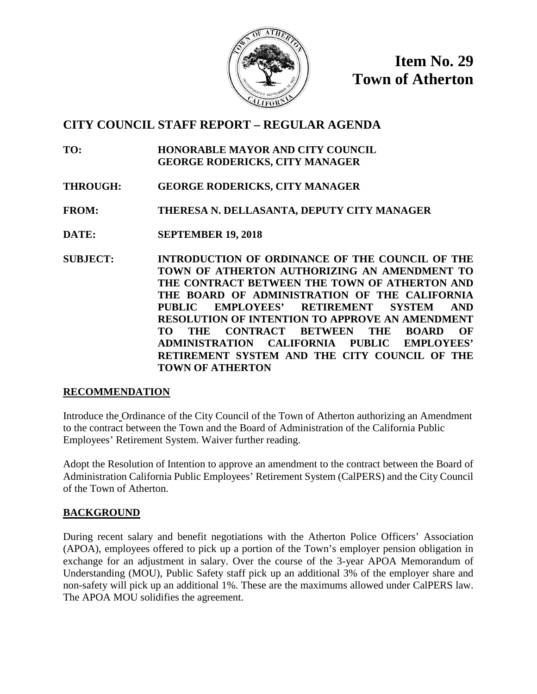

**Item No. 29 Town of Atherton**

## **CITY COUNCIL STAFF REPORT – REGULAR AGENDA**

- **TO: HONORABLE MAYOR AND CITY COUNCIL GEORGE RODERICKS, CITY MANAGER**
- **THROUGH: GEORGE RODERICKS, CITY MANAGER**
- **FROM: THERESA N. DELLASANTA, DEPUTY CITY MANAGER**
- **DATE: SEPTEMBER 19, 2018**
- **SUBJECT: INTRODUCTION OF ORDINANCE OF THE COUNCIL OF THE TOWN OF ATHERTON AUTHORIZING AN AMENDMENT TO THE CONTRACT BETWEEN THE TOWN OF ATHERTON AND THE BOARD OF ADMINISTRATION OF THE CALIFORNIA PUBLIC EMPLOYEES' RETIREMENT SYSTEM AND RESOLUTION OF INTENTION TO APPROVE AN AMENDMENT TO THE CONTRACT BETWEEN THE BOARD OF ADMINISTRATION CALIFORNIA PUBLIC EMPLOYEES' RETIREMENT SYSTEM AND THE CITY COUNCIL OF THE TOWN OF ATHERTON**

## **RECOMMENDATION**

Introduce the Ordinance of the City Council of the Town of Atherton authorizing an Amendment to the contract between the Town and the Board of Administration of the California Public Employees' Retirement System. Waiver further reading.

Adopt the Resolution of Intention to approve an amendment to the contract between the Board of Administration California Public Employees' Retirement System (CalPERS) and the City Council of the Town of Atherton.

## **BACKGROUND**

During recent salary and benefit negotiations with the Atherton Police Officers' Association (APOA), employees offered to pick up a portion of the Town's employer pension obligation in exchange for an adjustment in salary. Over the course of the 3-year APOA Memorandum of Understanding (MOU), Public Safety staff pick up an additional 3% of the employer share and non-safety will pick up an additional 1%. These are the maximums allowed under CalPERS law. The APOA MOU solidifies the agreement.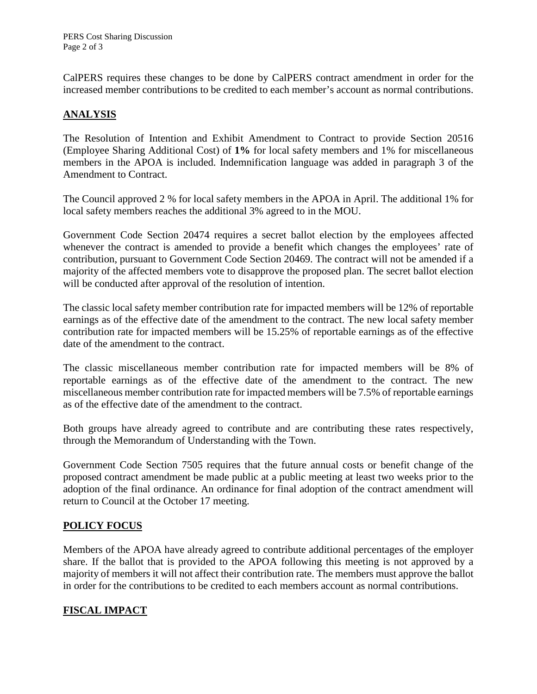CalPERS requires these changes to be done by CalPERS contract amendment in order for the increased member contributions to be credited to each member's account as normal contributions.

## **ANALYSIS**

The Resolution of Intention and Exhibit Amendment to Contract to provide Section 20516 (Employee Sharing Additional Cost) of **1%** for local safety members and 1% for miscellaneous members in the APOA is included. Indemnification language was added in paragraph 3 of the Amendment to Contract.

The Council approved 2 % for local safety members in the APOA in April. The additional 1% for local safety members reaches the additional 3% agreed to in the MOU.

Government Code Section 20474 requires a secret ballot election by the employees affected whenever the contract is amended to provide a benefit which changes the employees' rate of contribution, pursuant to Government Code Section 20469. The contract will not be amended if a majority of the affected members vote to disapprove the proposed plan. The secret ballot election will be conducted after approval of the resolution of intention.

The classic local safety member contribution rate for impacted members will be 12% of reportable earnings as of the effective date of the amendment to the contract. The new local safety member contribution rate for impacted members will be 15.25% of reportable earnings as of the effective date of the amendment to the contract.

The classic miscellaneous member contribution rate for impacted members will be 8% of reportable earnings as of the effective date of the amendment to the contract. The new miscellaneous member contribution rate for impacted members will be 7.5% of reportable earnings as of the effective date of the amendment to the contract.

Both groups have already agreed to contribute and are contributing these rates respectively, through the Memorandum of Understanding with the Town.

Government Code Section 7505 requires that the future annual costs or benefit change of the proposed contract amendment be made public at a public meeting at least two weeks prior to the adoption of the final ordinance. An ordinance for final adoption of the contract amendment will return to Council at the October 17 meeting.

## **POLICY FOCUS**

Members of the APOA have already agreed to contribute additional percentages of the employer share. If the ballot that is provided to the APOA following this meeting is not approved by a majority of members it will not affect their contribution rate. The members must approve the ballot in order for the contributions to be credited to each members account as normal contributions.

## **FISCAL IMPACT**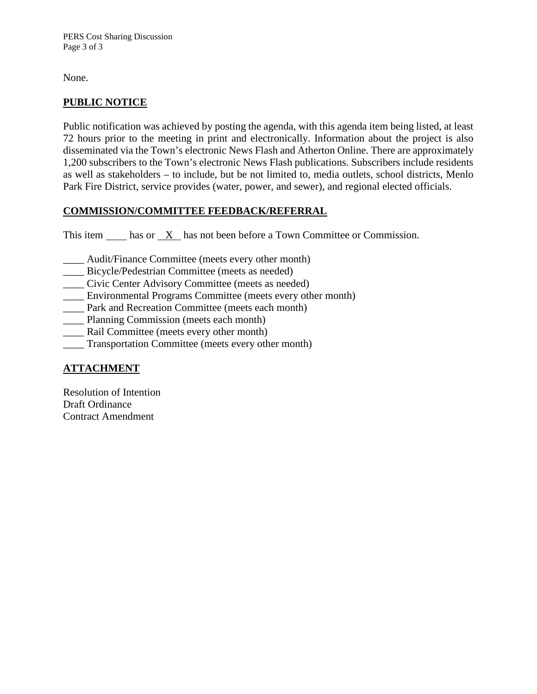None.

## **PUBLIC NOTICE**

Public notification was achieved by posting the agenda, with this agenda item being listed, at least 72 hours prior to the meeting in print and electronically. Information about the project is also disseminated via the Town's electronic News Flash and Atherton Online. There are approximately 1,200 subscribers to the Town's electronic News Flash publications. Subscribers include residents as well as stakeholders – to include, but be not limited to, media outlets, school districts, Menlo Park Fire District, service provides (water, power, and sewer), and regional elected officials.

## **COMMISSION/COMMITTEE FEEDBACK/REFERRAL**

This item  $\frac{X}{X}$  has not been before a Town Committee or Commission.

- \_\_\_\_ Audit/Finance Committee (meets every other month)
- Bicycle/Pedestrian Committee (meets as needed)
- \_\_\_\_ Civic Center Advisory Committee (meets as needed)
- \_\_\_\_ Environmental Programs Committee (meets every other month)
- \_\_\_\_ Park and Recreation Committee (meets each month)
- \_\_\_\_ Planning Commission (meets each month)
- Rail Committee (meets every other month)
- \_\_\_\_ Transportation Committee (meets every other month)

## **ATTACHMENT**

Resolution of Intention Draft Ordinance Contract Amendment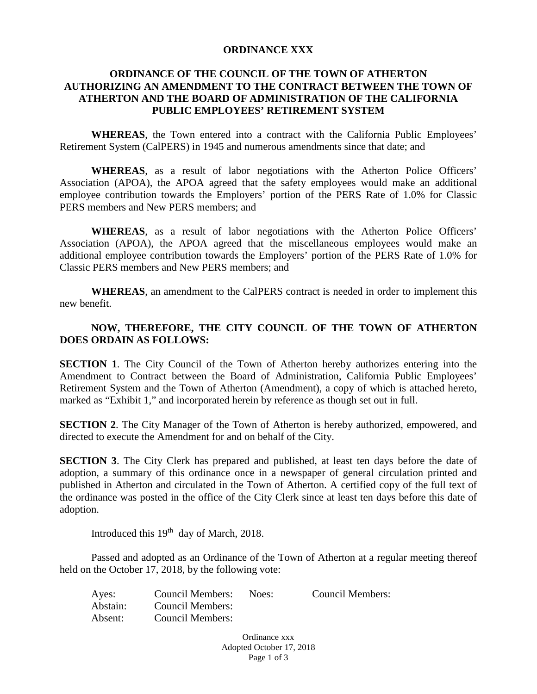### **ORDINANCE XXX**

## **ORDINANCE OF THE COUNCIL OF THE TOWN OF ATHERTON AUTHORIZING AN AMENDMENT TO THE CONTRACT BETWEEN THE TOWN OF ATHERTON AND THE BOARD OF ADMINISTRATION OF THE CALIFORNIA PUBLIC EMPLOYEES' RETIREMENT SYSTEM**

**WHEREAS**, the Town entered into a contract with the California Public Employees' Retirement System (CalPERS) in 1945 and numerous amendments since that date; and

**WHEREAS**, as a result of labor negotiations with the Atherton Police Officers' Association (APOA), the APOA agreed that the safety employees would make an additional employee contribution towards the Employers' portion of the PERS Rate of 1.0% for Classic PERS members and New PERS members; and

**WHEREAS**, as a result of labor negotiations with the Atherton Police Officers' Association (APOA), the APOA agreed that the miscellaneous employees would make an additional employee contribution towards the Employers' portion of the PERS Rate of 1.0% for Classic PERS members and New PERS members; and

**WHEREAS**, an amendment to the CalPERS contract is needed in order to implement this new benefit.

## **NOW, THEREFORE, THE CITY COUNCIL OF THE TOWN OF ATHERTON DOES ORDAIN AS FOLLOWS:**

**SECTION 1.** The City Council of the Town of Atherton hereby authorizes entering into the Amendment to Contract between the Board of Administration, California Public Employees' Retirement System and the Town of Atherton (Amendment), a copy of which is attached hereto, marked as "Exhibit 1," and incorporated herein by reference as though set out in full.

**SECTION 2**. The City Manager of the Town of Atherton is hereby authorized, empowered, and directed to execute the Amendment for and on behalf of the City.

**SECTION 3.** The City Clerk has prepared and published, at least ten days before the date of adoption, a summary of this ordinance once in a newspaper of general circulation printed and published in Atherton and circulated in the Town of Atherton. A certified copy of the full text of the ordinance was posted in the office of the City Clerk since at least ten days before this date of adoption.

Introduced this 19<sup>th</sup> day of March, 2018.

Passed and adopted as an Ordinance of the Town of Atherton at a regular meeting thereof held on the October 17, 2018, by the following vote:

| Ayes:    | <b>Council Members:</b> | Noes: | <b>Council Members:</b> |
|----------|-------------------------|-------|-------------------------|
| Abstain: | Council Members:        |       |                         |
| Absent:  | Council Members:        |       |                         |

Ordinance xxx Adopted October 17, 2018 Page 1 of 3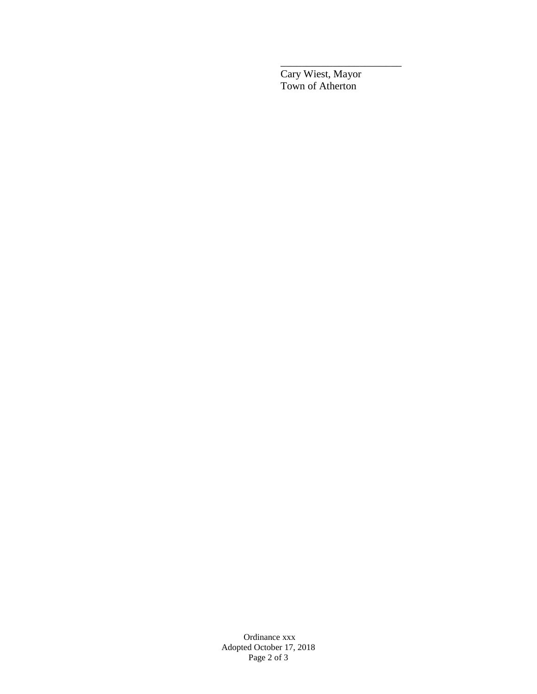Cary Wiest, Mayor Town of Atherton

\_\_\_\_\_\_\_\_\_\_\_\_\_\_\_\_\_\_\_\_\_\_\_

Ordinance xxx Adopted October 17, 2018 Page 2 of 3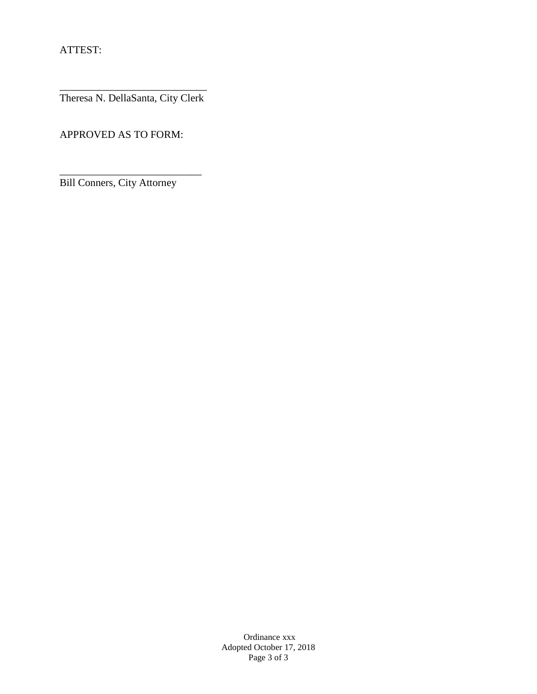ATTEST:

\_\_\_\_\_\_\_\_\_\_\_\_\_\_\_\_\_\_\_\_\_\_\_\_\_\_\_\_ Theresa N. DellaSanta, City Clerk

APPROVED AS TO FORM:

Bill Conners, City Attorney

\_\_\_\_\_\_\_\_\_\_\_\_\_\_\_\_\_\_\_\_\_\_\_\_\_\_\_

Ordinance xxx Adopted October 17, 2018 Page 3 of 3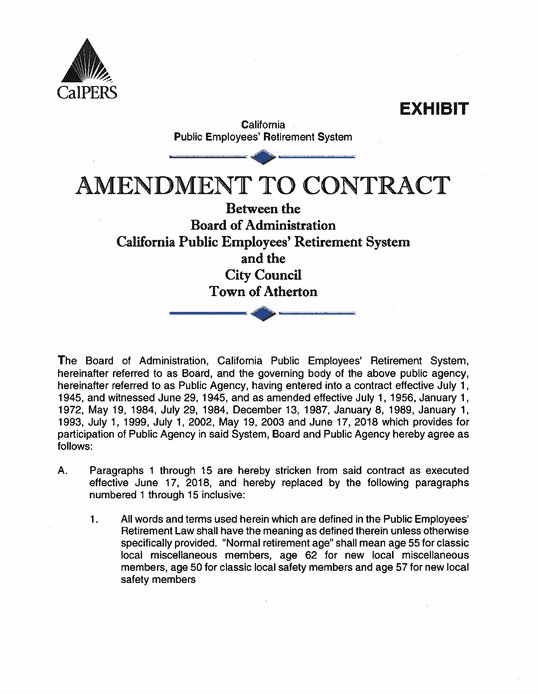

EXHIBIT **California Public Employees' Retirement System AMENDMENT TO CONTRACT Between the Board of Administration** California Public Employees' Retirement System and the **City Council Town of Atherton** 

The Board of Administration, California Public Employees' Retirement System, hereinafter referred to as Board, and the governing body of the above public agency, hereinafter referred to as Public Agency, having entered into a contract effective July 1, 1945, and witnessed June 29, 1945, and as amended effective July 1, 1956, January 1, 1972, May 19, 1984, July 29, 1984, December 13, 1987, January 8, 1989, January 1, 1993, July 1, 1999, July 1, 2002, May 19, 2003 and June 17, 2018 which provides for participation of Public Agency in said System, Board and Public Agency hereby agree as follows:

- $A_{\cdot}$ Paragraphs 1 through 15 are hereby stricken from said contract as executed effective June 17, 2018, and hereby replaced by the following paragraphs numbered 1 through 15 inclusive:
	- $\mathbf{1}$ . All words and terms used herein which are defined in the Public Employees' Retirement Law shall have the meaning as defined therein unless otherwise specifically provided. "Normal retirement age" shall mean age 55 for classic local miscellaneous members, age 62 for new local miscellaneous members, age 50 for classic local safety members and age 57 for new local safety members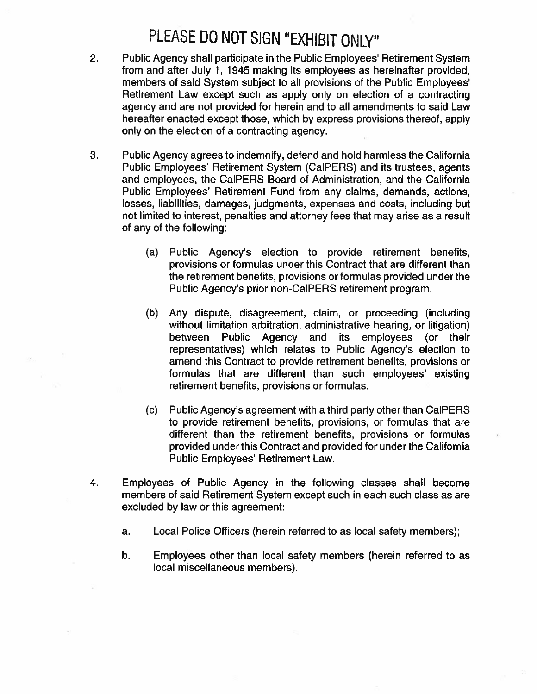## PLEASE DO NOT SIGN "EXHIBIT ONLY"

- $2.$ Public Agency shall participate in the Public Employees' Retirement System from and after July 1, 1945 making its employees as hereinafter provided, members of said System subject to all provisions of the Public Employees' Retirement Law except such as apply only on election of a contracting agency and are not provided for herein and to all amendments to said Law hereafter enacted except those, which by express provisions thereof, apply only on the election of a contracting agency.
- 3. Public Agency agrees to indemnify, defend and hold harmless the California Public Employees' Retirement System (CalPERS) and its trustees, agents and employees, the CalPERS Board of Administration, and the California Public Employees' Retirement Fund from any claims, demands, actions, losses, liabilities, damages, judgments, expenses and costs, including but not limited to interest, penalties and attorney fees that may arise as a result of any of the following:
	- Public Agency's election to provide retirement benefits,  $(a)$ provisions or formulas under this Contract that are different than the retirement benefits, provisions or formulas provided under the Public Agency's prior non-CalPERS retirement program.
	- Any dispute, disagreement, claim, or proceeding (including  $(b)$ without limitation arbitration, administrative hearing, or litigation) between Public Agency and its employees (or their representatives) which relates to Public Agency's election to amend this Contract to provide retirement benefits, provisions or formulas that are different than such employees' existing retirement benefits, provisions or formulas.
	- Public Agency's agreement with a third party other than CalPERS  $(c)$ to provide retirement benefits, provisions, or formulas that are different than the retirement benefits, provisions or formulas provided under this Contract and provided for under the California Public Employees' Retirement Law.
- 4. Employees of Public Agency in the following classes shall become members of said Retirement System except such in each such class as are excluded by law or this agreement:
	- Local Police Officers (herein referred to as local safety members); a.
	- b. Employees other than local safety members (herein referred to as local miscellaneous members).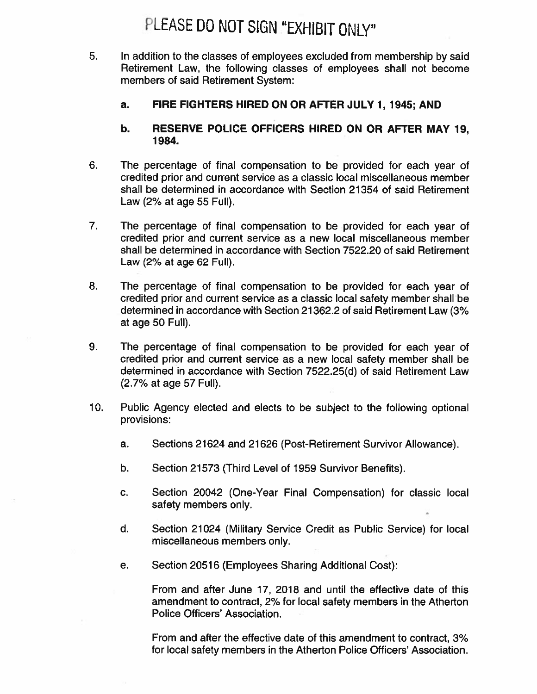## PLEASE DO NOT SIGN "EXHIBIT ONLY"

- 5. In addition to the classes of employees excluded from membership by said Retirement Law, the following classes of employees shall not become members of said Retirement System:
	- FIRE FIGHTERS HIRED ON OR AFTER JULY 1, 1945; AND a.

#### RESERVE POLICE OFFICERS HIRED ON OR AFTER MAY 19. b. 1984.

- 6. The percentage of final compensation to be provided for each year of credited prior and current service as a classic local miscellaneous member shall be determined in accordance with Section 21354 of said Retirement Law (2% at age 55 Full).
- $7.$ The percentage of final compensation to be provided for each year of credited prior and current service as a new local miscellaneous member shall be determined in accordance with Section 7522.20 of said Retirement Law (2% at age 62 Full).
- 8. The percentage of final compensation to be provided for each year of credited prior and current service as a classic local safety member shall be determined in accordance with Section 21362.2 of said Retirement Law (3% at age 50 Full).
- 9. The percentage of final compensation to be provided for each year of credited prior and current service as a new local safety member shall be determined in accordance with Section 7522.25(d) of said Retirement Law (2.7% at age 57 Full).
- $10.$ Public Agency elected and elects to be subject to the following optional provisions:
	- Sections 21624 and 21626 (Post-Retirement Survivor Allowance). a.
	- b. Section 21573 (Third Level of 1959 Survivor Benefits).
	- C. Section 20042 (One-Year Final Compensation) for classic local safety members only.
	- d. Section 21024 (Military Service Credit as Public Service) for local miscellaneous members only.
	- Section 20516 (Employees Sharing Additional Cost): е.

From and after June 17, 2018 and until the effective date of this amendment to contract, 2% for local safety members in the Atherton Police Officers' Association.

From and after the effective date of this amendment to contract, 3% for local safety members in the Atherton Police Officers' Association.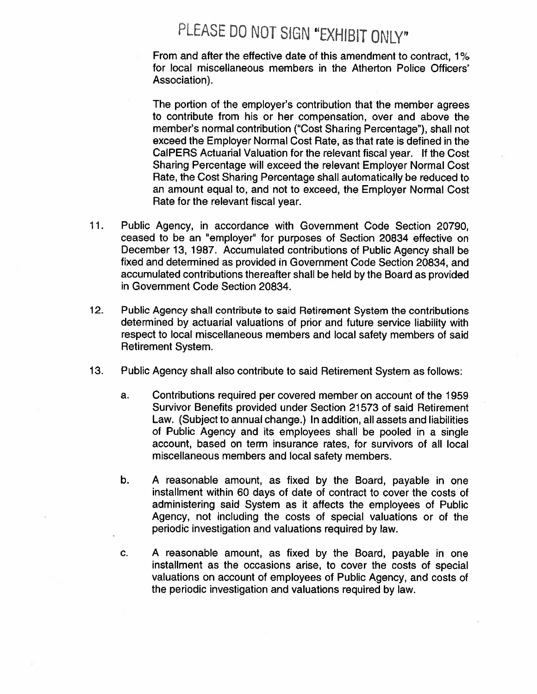# PLEASE DO NOT SIGN "EXHIBIT ONLY"

From and after the effective date of this amendment to contract, 1% for local miscellaneous members in the Atherton Police Officers' Association).

The portion of the employer's contribution that the member agrees to contribute from his or her compensation, over and above the member's normal contribution ("Cost Sharing Percentage"), shall not exceed the Employer Normal Cost Rate, as that rate is defined in the CalPERS Actuarial Valuation for the relevant fiscal year. If the Cost Sharing Percentage will exceed the relevant Employer Normal Cost Rate, the Cost Sharing Percentage shall automatically be reduced to an amount equal to, and not to exceed, the Employer Normal Cost Rate for the relevant fiscal year.

- $11.$ Public Agency, in accordance with Government Code Section 20790. ceased to be an "employer" for purposes of Section 20834 effective on December 13, 1987. Accumulated contributions of Public Agency shall be fixed and determined as provided in Government Code Section 20834, and accumulated contributions thereafter shall be held by the Board as provided in Government Code Section 20834.
- $12.$ Public Agency shall contribute to said Retirement System the contributions determined by actuarial valuations of prior and future service liability with respect to local miscellaneous members and local safety members of said **Retirement System.**
- $13.$ Public Agency shall also contribute to said Retirement System as follows:
	- Contributions required per covered member on account of the 1959 a. Survivor Benefits provided under Section 21573 of said Retirement Law. (Subject to annual change.) In addition, all assets and liabilities of Public Agency and its employees shall be pooled in a single account, based on term insurance rates, for survivors of all local miscellaneous members and local safety members.
	- b. A reasonable amount, as fixed by the Board, payable in one installment within 60 days of date of contract to cover the costs of administering said System as it affects the employees of Public Agency, not including the costs of special valuations or of the periodic investigation and valuations required by law.
	- C. A reasonable amount, as fixed by the Board, payable in one installment as the occasions arise, to cover the costs of special valuations on account of employees of Public Agency, and costs of the periodic investigation and valuations required by law.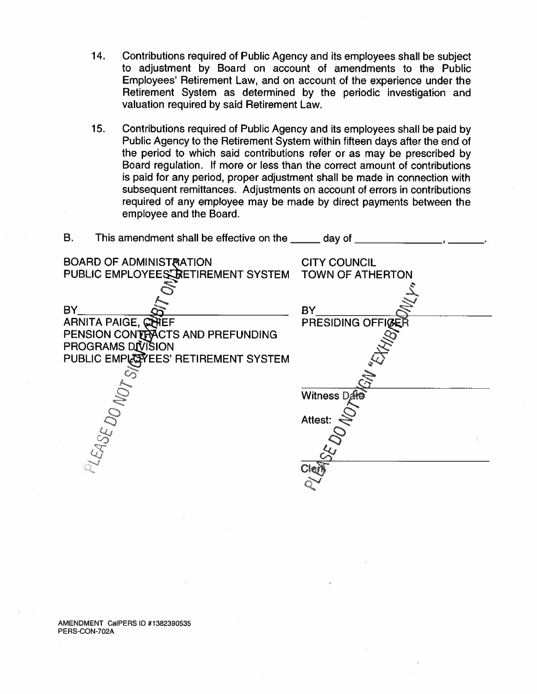- 14. Contributions required of Public Agency and its employees shall be subject to adjustment by Board on account of amendments to the Public Employees' Retirement Law, and on account of the experience under the Retirement System as determined by the periodic investigation and valuation required by said Retirement Law.
- $15.$ Contributions required of Public Agency and its employees shall be paid by Public Agency to the Retirement System within fifteen days after the end of the period to which said contributions refer or as may be prescribed by Board regulation. If more or less than the correct amount of contributions is paid for any period, proper adjustment shall be made in connection with subsequent remittances. Adjustments on account of errors in contributions required of any employee may be made by direct payments between the employee and the Board.

| ь.<br>This amendment shall be effective on the same day of                                |                                                |
|-------------------------------------------------------------------------------------------|------------------------------------------------|
| <b>BOARD OF ADMINISTRATION</b><br>PUBLIC EMPLOYEES RETIREMENT SYSTEM                      | <b>CITY COUNCIL</b><br><b>TOWN OF ATHERTON</b> |
| <b>BY</b><br>ARNITA PAIGE, CHIEF<br>PENSION CONTRACTS AND PREFUNDING<br>PROGRAMS DIVISION | <b>BY</b><br>PRESIDING OFFICER                 |
| PUBLIC EMPLOTES' RETIREMENT SYSTEM                                                        |                                                |
|                                                                                           |                                                |
|                                                                                           | Witness Dafe                                   |
|                                                                                           | Attest:                                        |
| PLEASE DO MOT                                                                             | ાર્ણ                                           |

AMENDMENT CalPERS ID #1382390535 PERS-CON-702A